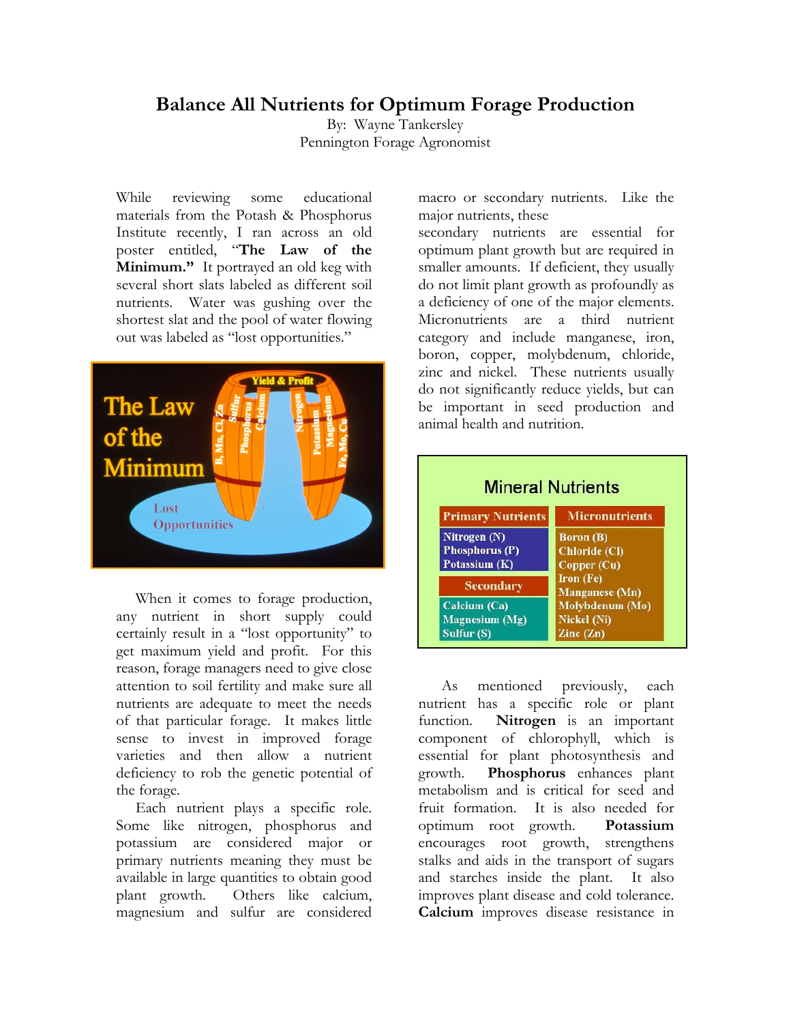## **Balance All Nutrients for Optimum Forage Production**

By: Wayne Tankersley Pennington Forage Agronomist

While reviewing some educational materials from the Potash & Phosphorus Institute recently, I ran across an old poster entitled, "**The Law of the Minimum."** It portrayed an old keg with several short slats labeled as different soil nutrients. Water was gushing over the shortest slat and the pool of water flowing out was labeled as "lost opportunities."



 When it comes to forage production, any nutrient in short supply could certainly result in a "lost opportunity" to get maximum yield and profit. For this reason, forage managers need to give close attention to soil fertility and make sure all nutrients are adequate to meet the needs of that particular forage. It makes little sense to invest in improved forage varieties and then allow a nutrient deficiency to rob the genetic potential of the forage.

 Each nutrient plays a specific role. Some like nitrogen, phosphorus and potassium are considered major or primary nutrients meaning they must be available in large quantities to obtain good plant growth. Others like calcium, magnesium and sulfur are considered

macro or secondary nutrients. Like the major nutrients, these

secondary nutrients are essential for optimum plant growth but are required in smaller amounts. If deficient, they usually do not limit plant growth as profoundly as a deficiency of one of the major elements. Micronutrients are a third nutrient category and include manganese, iron, boron, copper, molybdenum, chloride, zinc and nickel. These nutrients usually do not significantly reduce yields, but can be important in seed production and animal health and nutrition.

| <b>Micronutrients</b>                    |
|------------------------------------------|
|                                          |
| <b>Boron</b> (B)                         |
| Chloride (Cl)                            |
| Copper (Cu)                              |
| Iron (Fe)                                |
| <b>Manganese</b> (Mn)<br>Molybdenum (Mo) |
|                                          |

 As mentioned previously, each nutrient has a specific role or plant function. **Nitrogen** is an important component of chlorophyll, which is essential for plant photosynthesis and growth. **Phosphorus** enhances plant metabolism and is critical for seed and fruit formation. It is also needed for optimum root growth. **Potassium**  encourages root growth, strengthens stalks and aids in the transport of sugars and starches inside the plant. It also improves plant disease and cold tolerance. **Calcium** improves disease resistance in